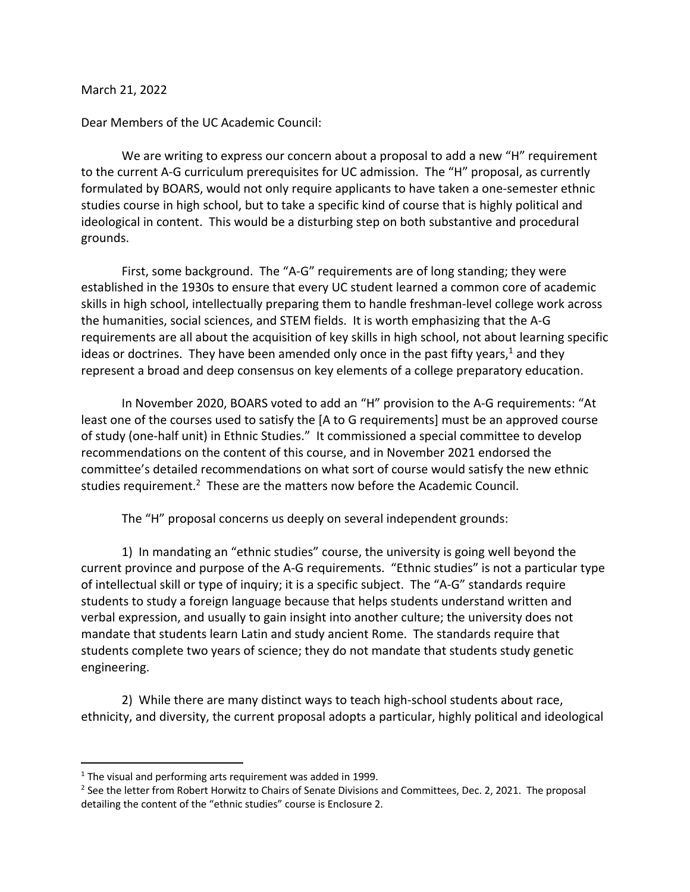March 21, 2022

Dear Members of the UC Academic Council:

We are writing to express our concern about a proposal to add a new "H" requirement to the current A-G curriculum prerequisites for UC admission. The "H" proposal, as currently formulated by BOARS, would not only require applicants to have taken a one-semester ethnic studies course in high school, but to take a specific kind of course that is highly political and ideological in content. This would be a disturbing step on both substantive and procedural grounds.

First, some background. The "A-G" requirements are of long standing; they were established in the 1930s to ensure that every UC student learned a common core of academic skills in high school, intellectually preparing them to handle freshman-level college work across the humanities, social sciences, and STEM fields. It is worth emphasizing that the A-G requirements are all about the acquisition of key skills in high school, not about learning specific ideas or doctrines. They have been amended only once in the past fifty years,<sup>1</sup> and they represent a broad and deep consensus on key elements of a college preparatory education.

In November 2020, BOARS voted to add an "H" provision to the A-G requirements: "At least one of the courses used to satisfy the [A to G requirements] must be an approved course of study (one-half unit) in Ethnic Studies." It commissioned a special committee to develop recommendations on the content of this course, and in November 2021 endorsed the committee's detailed recommendations on what sort of course would satisfy the new ethnic studies requirement.<sup>2</sup> These are the matters now before the Academic Council.

The "H" proposal concerns us deeply on several independent grounds:

1) In mandating an "ethnic studies" course, the university is going well beyond the current province and purpose of the A-G requirements. "Ethnic studies" is not a particular type of intellectual skill or type of inquiry; it is a specific subject. The "A-G" standards require students to study a foreign language because that helps students understand written and verbal expression, and usually to gain insight into another culture; the university does not mandate that students learn Latin and study ancient Rome. The standards require that students complete two years of science; they do not mandate that students study genetic engineering.

2) While there are many distinct ways to teach high-school students about race, ethnicity, and diversity, the current proposal adopts a particular, highly political and ideological

 $1$  The visual and performing arts requirement was added in 1999.

<sup>&</sup>lt;sup>2</sup> See the letter from Robert Horwitz to Chairs of Senate Divisions and Committees, Dec. 2, 2021. The proposal detailing the content of the "ethnic studies" course is Enclosure 2.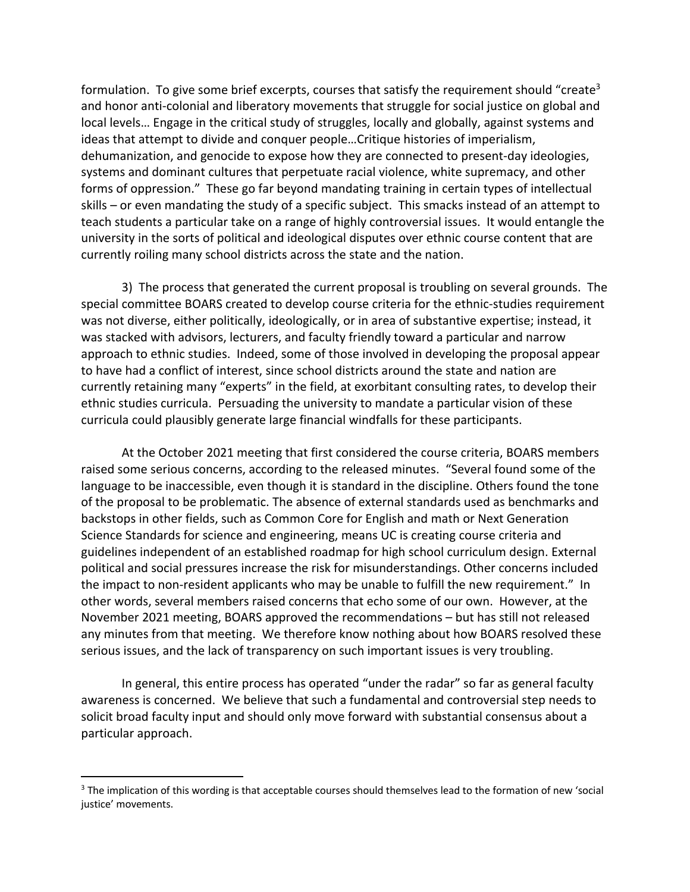formulation. To give some brief excerpts, courses that satisfy the requirement should "create<sup>3</sup> and honor anti-colonial and liberatory movements that struggle for social justice on global and local levels… Engage in the critical study of struggles, locally and globally, against systems and ideas that attempt to divide and conquer people…Critique histories of imperialism, dehumanization, and genocide to expose how they are connected to present-day ideologies, systems and dominant cultures that perpetuate racial violence, white supremacy, and other forms of oppression." These go far beyond mandating training in certain types of intellectual skills – or even mandating the study of a specific subject. This smacks instead of an attempt to teach students a particular take on a range of highly controversial issues. It would entangle the university in the sorts of political and ideological disputes over ethnic course content that are currently roiling many school districts across the state and the nation.

3) The process that generated the current proposal is troubling on several grounds. The special committee BOARS created to develop course criteria for the ethnic-studies requirement was not diverse, either politically, ideologically, or in area of substantive expertise; instead, it was stacked with advisors, lecturers, and faculty friendly toward a particular and narrow approach to ethnic studies. Indeed, some of those involved in developing the proposal appear to have had a conflict of interest, since school districts around the state and nation are currently retaining many "experts" in the field, at exorbitant consulting rates, to develop their ethnic studies curricula. Persuading the university to mandate a particular vision of these curricula could plausibly generate large financial windfalls for these participants.

At the October 2021 meeting that first considered the course criteria, BOARS members raised some serious concerns, according to the released minutes. "Several found some of the language to be inaccessible, even though it is standard in the discipline. Others found the tone of the proposal to be problematic. The absence of external standards used as benchmarks and backstops in other fields, such as Common Core for English and math or Next Generation Science Standards for science and engineering, means UC is creating course criteria and guidelines independent of an established roadmap for high school curriculum design. External political and social pressures increase the risk for misunderstandings. Other concerns included the impact to non-resident applicants who may be unable to fulfill the new requirement." In other words, several members raised concerns that echo some of our own. However, at the November 2021 meeting, BOARS approved the recommendations – but has still not released any minutes from that meeting. We therefore know nothing about how BOARS resolved these serious issues, and the lack of transparency on such important issues is very troubling.

In general, this entire process has operated "under the radar" so far as general faculty awareness is concerned. We believe that such a fundamental and controversial step needs to solicit broad faculty input and should only move forward with substantial consensus about a particular approach.

<sup>&</sup>lt;sup>3</sup> The implication of this wording is that acceptable courses should themselves lead to the formation of new 'social justice' movements.